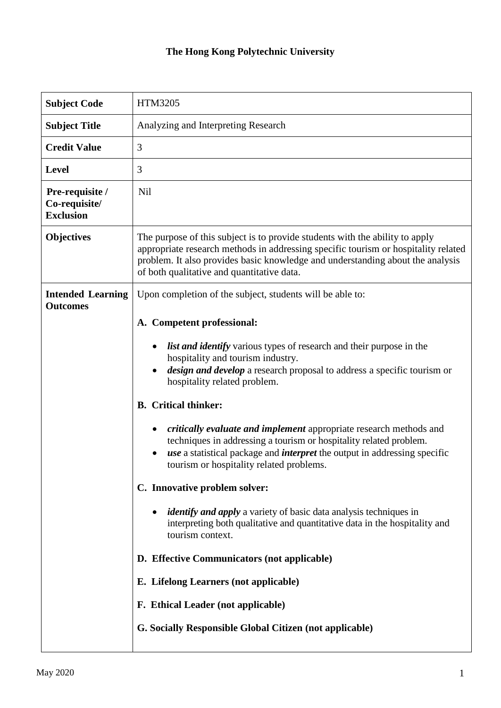## **The Hong Kong Polytechnic University**

| <b>Subject Code</b>                                  | HTM3205                                                                                                                                                                                                                                                                                            |  |
|------------------------------------------------------|----------------------------------------------------------------------------------------------------------------------------------------------------------------------------------------------------------------------------------------------------------------------------------------------------|--|
| <b>Subject Title</b>                                 | Analyzing and Interpreting Research                                                                                                                                                                                                                                                                |  |
| <b>Credit Value</b>                                  | 3                                                                                                                                                                                                                                                                                                  |  |
| <b>Level</b>                                         | 3                                                                                                                                                                                                                                                                                                  |  |
| Pre-requisite /<br>Co-requisite/<br><b>Exclusion</b> | Nil                                                                                                                                                                                                                                                                                                |  |
| Objectives                                           | The purpose of this subject is to provide students with the ability to apply<br>appropriate research methods in addressing specific tourism or hospitality related<br>problem. It also provides basic knowledge and understanding about the analysis<br>of both qualitative and quantitative data. |  |
| <b>Intended Learning</b><br><b>Outcomes</b>          | Upon completion of the subject, students will be able to:                                                                                                                                                                                                                                          |  |
|                                                      | A. Competent professional:                                                                                                                                                                                                                                                                         |  |
|                                                      | <i>list and identify</i> various types of research and their purpose in the<br>hospitality and tourism industry.                                                                                                                                                                                   |  |
|                                                      | design and develop a research proposal to address a specific tourism or<br>hospitality related problem.                                                                                                                                                                                            |  |
|                                                      | <b>B.</b> Critical thinker:                                                                                                                                                                                                                                                                        |  |
|                                                      | critically evaluate and implement appropriate research methods and<br>techniques in addressing a tourism or hospitality related problem.<br><i>use</i> a statistical package and <i>interpret</i> the output in addressing specific<br>tourism or hospitality related problems.                    |  |
|                                                      | C. Innovative problem solver:                                                                                                                                                                                                                                                                      |  |
|                                                      | <i>identify and apply</i> a variety of basic data analysis techniques in<br>interpreting both qualitative and quantitative data in the hospitality and<br>tourism context.                                                                                                                         |  |
|                                                      | D. Effective Communicators (not applicable)                                                                                                                                                                                                                                                        |  |
|                                                      | E. Lifelong Learners (not applicable)                                                                                                                                                                                                                                                              |  |
|                                                      | F. Ethical Leader (not applicable)                                                                                                                                                                                                                                                                 |  |
|                                                      | <b>G. Socially Responsible Global Citizen (not applicable)</b>                                                                                                                                                                                                                                     |  |